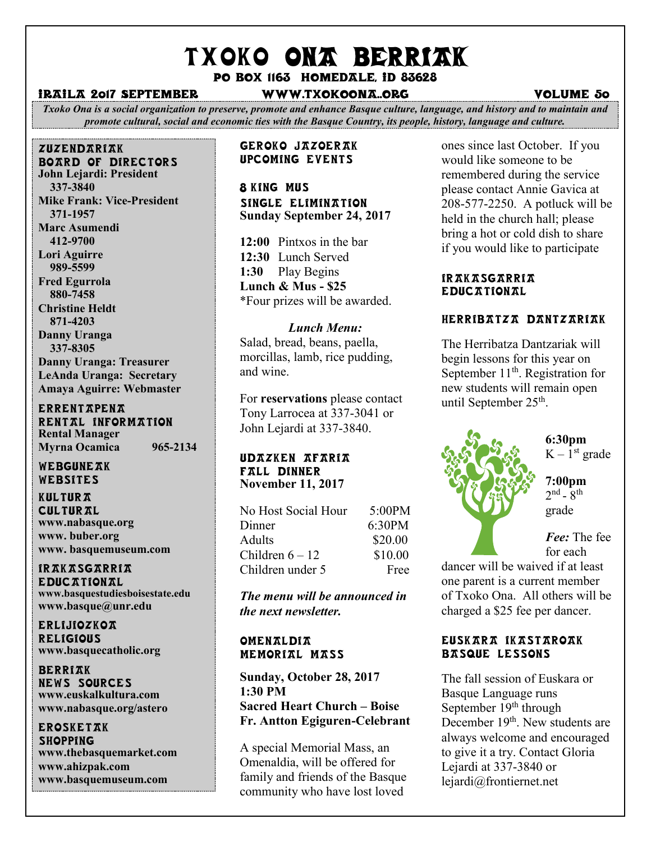# TXOKO ONA BERRIAK

Po box 1163 homedale, id 83628

#### iraila 2017 September www.txokoona..org volume 50

*Txoko Ona is a social organization to preserve, promote and enhance Basque culture, language, and history and to maintain and promote cultural, social and economic ties with the Basque Country, its people, history, language and culture.*

#### zuzendariak board of directors **John Lejardi: President**

 **337-3840 Mike Frank: Vice-President 371-1957 Marc Asumendi 412-9700 Lori Aguirre 989-5599 Fred Egurrola 880-7458 Christine Heldt 871-4203 Danny Uranga 337-8305 Danny Uranga: Treasurer LeAnda Uranga: Secretary Amaya Aguirre: Webmaster**

#### **ERRENTAPENA** RENTAL INFORMATION **Rental Manager Myrna Ocamica 965-2134**

WEBGUNEAK Websites

**KULTURA CULTURAL www.nabasque.org www. buber.org www. basquemuseum.com** 

irakasgarria EDIIC TTION TL **www.basquestudiesboisestate.edu www.basque@unr.edu**

**ERLIJIOZKOA RELIGIOUS www.basquecatholic.org**

**BERRIAK** news sources **www.euskalkultura.com www.nabasque.org/astero**

#### erosketak **SHOPPING**

**www.thebasquemarket.com www.ahizpak.com www.basquemuseum.com**

#### Geroko Jazoerak Upcoming events

8 king MUS Single Elimination **Sunday September 24, 2017**

**12:00** Pintxos in the bar **12:30** Lunch Served **1:30** Play Begins **Lunch & Mus - \$25** \*Four prizes will be awarded.

#### *Lunch Menu:*

Salad, bread, beans, paella, morcillas, lamb, rice pudding, and wine.

For **reservations** please contact Tony Larrocea at 337-3041 or John Lejardi at 337-3840.

#### Udazken Afaria Fall dinner **November 11, 2017**

| No Host Social Hour | 5:00PM  |
|---------------------|---------|
| Dinner              | 6:30PM  |
| <b>Adults</b>       | \$20.00 |
| Children $6-12$     | \$10.00 |
| Children under 5    | Free    |

*The menu will be announced in the next newsletter.*

#### **OMENALDIA** Memorial mass

**Sunday, October 28, 2017 1:30 PM Sacred Heart Church – Boise Fr. Antton Egiguren-Celebrant**

A special Memorial Mass, an Omenaldia, will be offered for family and friends of the Basque community who have lost loved

ones since last October. If you would like someone to be remembered during the service please contact Annie Gavica at 208-577-2250. A potluck will be held in the church hall; please bring a hot or cold dish to share if you would like to participate

#### ir *AKASGARRIA* **EDUCATIONAL**

#### herribatza dantzariak

The Herribatza Dantzariak will begin lessons for this year on September 11<sup>th</sup>. Registration for new students will remain open until September 25<sup>th</sup>.



**6:30pm**  $K - 1<sup>st</sup>$  grade

**7:00pm**  $2<sup>nd</sup>$  -  $8<sup>th</sup>$ grade

*Fee:* The fee for each

dancer will be waived if at least one parent is a current member of Txoko Ona. All others will be charged a \$25 fee per dancer.

#### Euskara Ikastaroak Basque Lessons

The fall session of Euskara or Basque Language runs September  $19<sup>th</sup>$  through December 19<sup>th</sup>. New students are always welcome and encouraged to give it a try. Contact Gloria Lejardi at 337-3840 or lejardi@frontiernet.net